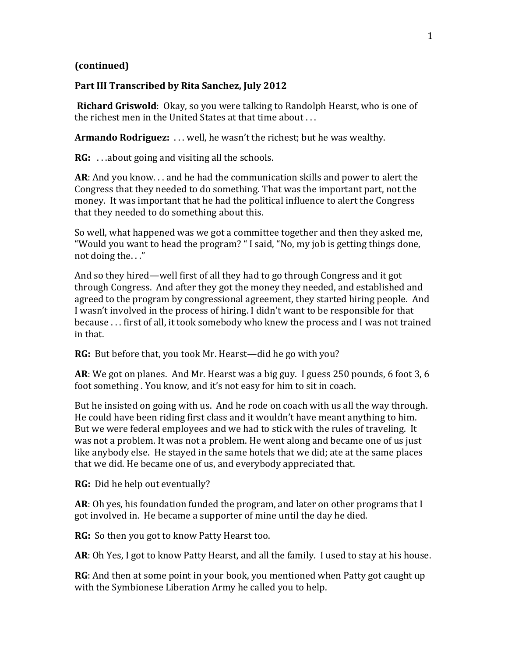## **(continued)**

## **Part III Transcribed by Rita Sanchez, July 2012**

**Richard Griswold**: Okay, so you were talking to Randolph Hearst, who is one of the richest men in the United States at that time about . . .

**Armando Rodriguez:** . . . well, he wasn't the richest; but he was wealthy.

**RG:** . . .about going and visiting all the schools.

**AR**: And you know. . . and he had the communication skills and power to alert the Congress that they needed to do something. That was the important part, not the money. It was important that he had the political influence to alert the Congress that they needed to do something about this.

So well, what happened was we got a committee together and then they asked me, "Would you want to head the program? " I said, "No, my job is getting things done, not doing the. . ."

And so they hired—well first of all they had to go through Congress and it got through Congress. And after they got the money they needed, and established and agreed to the program by congressional agreement, they started hiring people. And I wasn't involved in the process of hiring. I didn't want to be responsible for that because . . . first of all, it took somebody who knew the process and I was not trained in that.

**RG:** But before that, you took Mr. Hearst—did he go with you?

**AR**: We got on planes. And Mr. Hearst was a big guy. I guess 250 pounds, 6 foot 3, 6 foot something . You know, and it's not easy for him to sit in coach.

But he insisted on going with us. And he rode on coach with us all the way through. He could have been riding first class and it wouldn't have meant anything to him. But we were federal employees and we had to stick with the rules of traveling. It was not a problem. It was not a problem. He went along and became one of us just like anybody else. He stayed in the same hotels that we did; ate at the same places that we did. He became one of us, and everybody appreciated that.

**RG:** Did he help out eventually?

**AR**: Oh yes, his foundation funded the program, and later on other programs that I got involved in. He became a supporter of mine until the day he died.

**RG:** So then you got to know Patty Hearst too.

**AR**: Oh Yes, I got to know Patty Hearst, and all the family. I used to stay at his house.

**RG**: And then at some point in your book, you mentioned when Patty got caught up with the Symbionese Liberation Army he called you to help.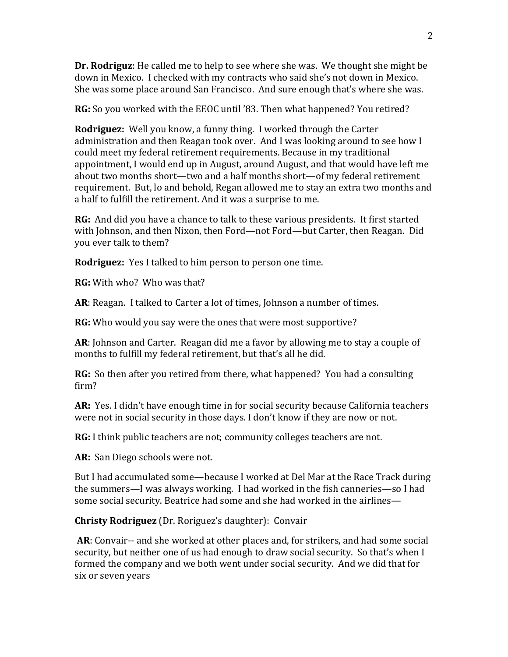**Dr. Rodriguz**: He called me to help to see where she was. We thought she might be down in Mexico. I checked with my contracts who said she's not down in Mexico. She was some place around San Francisco. And sure enough that's where she was.

**RG:** So you worked with the EEOC until '83. Then what happened? You retired?

**Rodriguez:** Well you know, a funny thing. I worked through the Carter administration and then Reagan took over. And I was looking around to see how I could meet my federal retirement requirements. Because in my traditional appointment, I would end up in August, around August, and that would have left me about two months short—two and a half months short—of my federal retirement requirement. But, lo and behold, Regan allowed me to stay an extra two months and a half to fulfill the retirement. And it was a surprise to me.

**RG:** And did you have a chance to talk to these various presidents. It first started with Johnson, and then Nixon, then Ford—not Ford—but Carter, then Reagan. Did you ever talk to them?

**Rodriguez:** Yes I talked to him person to person one time.

**RG:** With who? Who was that?

**AR**: Reagan. I talked to Carter a lot of times, Johnson a number of times.

**RG:** Who would you say were the ones that were most supportive?

**AR**: Johnson and Carter. Reagan did me a favor by allowing me to stay a couple of months to fulfill my federal retirement, but that's all he did.

**RG:** So then after you retired from there, what happened? You had a consulting firm?

**AR:** Yes. I didn't have enough time in for social security because California teachers were not in social security in those days. I don't know if they are now or not.

**RG:** I think public teachers are not; community colleges teachers are not.

**AR:** San Diego schools were not.

But I had accumulated some—because I worked at Del Mar at the Race Track during the summers—I was always working. I had worked in the fish canneries—so I had some social security. Beatrice had some and she had worked in the airlines—

**Christy Rodriguez** (Dr. Roriguez's daughter): Convair

**AR**: Convair-- and she worked at other places and, for strikers, and had some social security, but neither one of us had enough to draw social security. So that's when I formed the company and we both went under social security. And we did that for six or seven years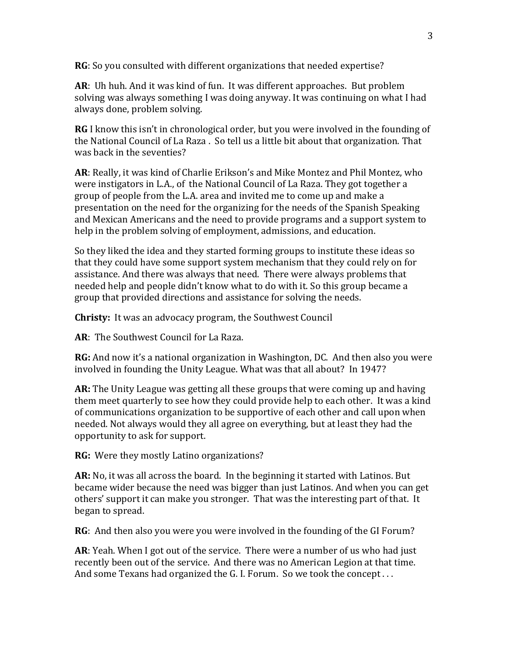**RG**: So you consulted with different organizations that needed expertise?

**AR**: Uh huh. And it was kind of fun. It was different approaches. But problem solving was always something I was doing anyway. It was continuing on what I had always done, problem solving.

**RG** I know this isn't in chronological order, but you were involved in the founding of the National Council of La Raza . So tell us a little bit about that organization. That was back in the seventies?

**AR**: Really, it was kind of Charlie Erikson's and Mike Montez and Phil Montez, who were instigators in L.A., of the National Council of La Raza. They got together a group of people from the L.A. area and invited me to come up and make a presentation on the need for the organizing for the needs of the Spanish Speaking and Mexican Americans and the need to provide programs and a support system to help in the problem solving of employment, admissions, and education.

So they liked the idea and they started forming groups to institute these ideas so that they could have some support system mechanism that they could rely on for assistance. And there was always that need. There were always problems that needed help and people didn't know what to do with it. So this group became a group that provided directions and assistance for solving the needs.

**Christy:** It was an advocacy program, the Southwest Council

**AR**: The Southwest Council for La Raza.

**RG:** And now it's a national organization in Washington, DC. And then also you were involved in founding the Unity League. What was that all about? In 1947?

**AR:** The Unity League was getting all these groups that were coming up and having them meet quarterly to see how they could provide help to each other. It was a kind of communications organization to be supportive of each other and call upon when needed. Not always would they all agree on everything, but at least they had the opportunity to ask for support.

**RG:** Were they mostly Latino organizations?

**AR:** No, it was all across the board. In the beginning it started with Latinos. But became wider because the need was bigger than just Latinos. And when you can get others' support it can make you stronger. That was the interesting part of that. It began to spread.

**RG**: And then also you were you were involved in the founding of the GI Forum?

**AR**: Yeah. When I got out of the service. There were a number of us who had just recently been out of the service. And there was no American Legion at that time. And some Texans had organized the G. I. Forum. So we took the concept . . .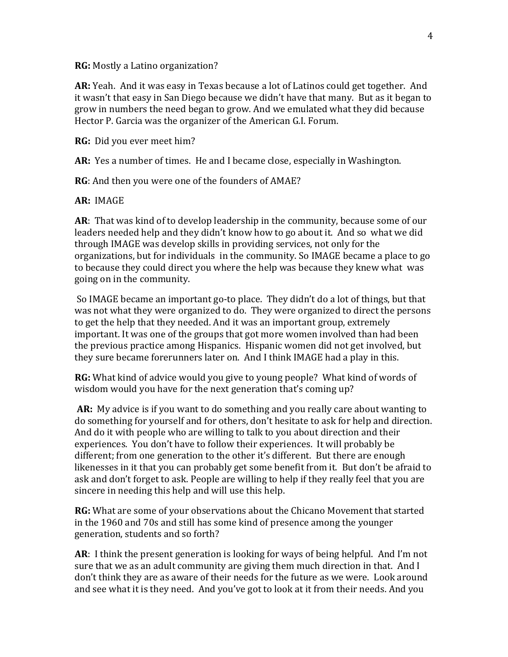**RG:** Mostly a Latino organization?

**AR:** Yeah. And it was easy in Texas because a lot of Latinos could get together. And it wasn't that easy in San Diego because we didn't have that many. But as it began to grow in numbers the need began to grow. And we emulated what they did because Hector P. Garcia was the organizer of the American G.I. Forum.

**RG:** Did you ever meet him?

**AR:** Yes a number of times. He and I became close, especially in Washington.

**RG**: And then you were one of the founders of AMAE?

**AR:** IMAGE

**AR**: That was kind of to develop leadership in the community, because some of our leaders needed help and they didn't know how to go about it. And so what we did through IMAGE was develop skills in providing services, not only for the organizations, but for individuals in the community. So IMAGE became a place to go to because they could direct you where the help was because they knew what was going on in the community.

So IMAGE became an important go-to place. They didn't do a lot of things, but that was not what they were organized to do. They were organized to direct the persons to get the help that they needed. And it was an important group, extremely important. It was one of the groups that got more women involved than had been the previous practice among Hispanics. Hispanic women did not get involved, but they sure became forerunners later on. And I think IMAGE had a play in this.

**RG:** What kind of advice would you give to young people? What kind of words of wisdom would you have for the next generation that's coming up?

**AR:** My advice is if you want to do something and you really care about wanting to do something for yourself and for others, don't hesitate to ask for help and direction. And do it with people who are willing to talk to you about direction and their experiences. You don't have to follow their experiences. It will probably be different; from one generation to the other it's different. But there are enough likenesses in it that you can probably get some benefit from it. But don't be afraid to ask and don't forget to ask. People are willing to help if they really feel that you are sincere in needing this help and will use this help.

**RG:** What are some of your observations about the Chicano Movement that started in the 1960 and 70s and still has some kind of presence among the younger generation, students and so forth?

**AR**: I think the present generation is looking for ways of being helpful. And I'm not sure that we as an adult community are giving them much direction in that. And I don't think they are as aware of their needs for the future as we were. Look around and see what it is they need. And you've got to look at it from their needs. And you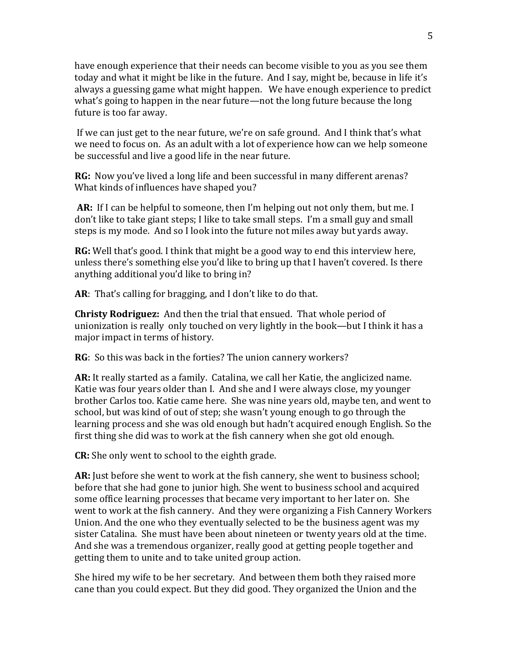have enough experience that their needs can become visible to you as you see them today and what it might be like in the future. And I say, might be, because in life it's always a guessing game what might happen. We have enough experience to predict what's going to happen in the near future—not the long future because the long future is too far away.

If we can just get to the near future, we're on safe ground. And I think that's what we need to focus on. As an adult with a lot of experience how can we help someone be successful and live a good life in the near future.

**RG:** Now you've lived a long life and been successful in many different arenas? What kinds of influences have shaped you?

**AR:** If I can be helpful to someone, then I'm helping out not only them, but me. I don't like to take giant steps; I like to take small steps. I'm a small guy and small steps is my mode. And so I look into the future not miles away but yards away.

**RG:** Well that's good. I think that might be a good way to end this interview here, unless there's something else you'd like to bring up that I haven't covered. Is there anything additional you'd like to bring in?

**AR**: That's calling for bragging, and I don't like to do that.

**Christy Rodriguez:** And then the trial that ensued. That whole period of unionization is really only touched on very lightly in the book—but I think it has a major impact in terms of history.

**RG**: So this was back in the forties? The union cannery workers?

**AR:** It really started as a family. Catalina, we call her Katie, the anglicized name. Katie was four years older than I. And she and I were always close, my younger brother Carlos too. Katie came here. She was nine years old, maybe ten, and went to school, but was kind of out of step; she wasn't young enough to go through the learning process and she was old enough but hadn't acquired enough English. So the first thing she did was to work at the fish cannery when she got old enough.

**CR:** She only went to school to the eighth grade.

**AR:** Just before she went to work at the fish cannery, she went to business school; before that she had gone to junior high. She went to business school and acquired some office learning processes that became very important to her later on. She went to work at the fish cannery. And they were organizing a Fish Cannery Workers Union. And the one who they eventually selected to be the business agent was my sister Catalina. She must have been about nineteen or twenty years old at the time. And she was a tremendous organizer, really good at getting people together and getting them to unite and to take united group action.

She hired my wife to be her secretary. And between them both they raised more cane than you could expect. But they did good. They organized the Union and the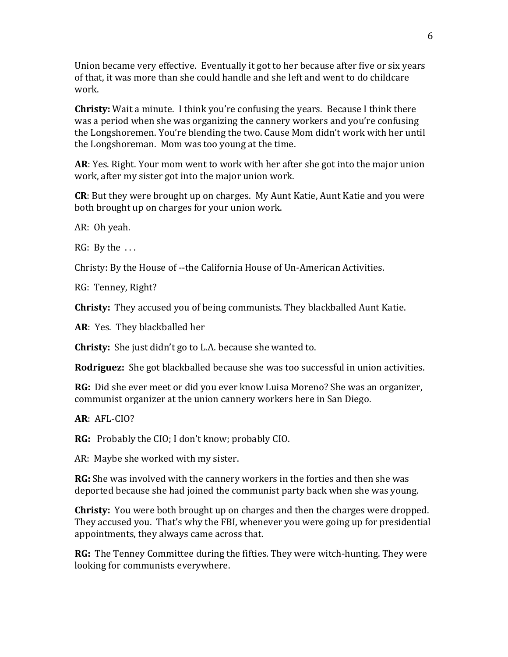Union became very effective. Eventually it got to her because after five or six years of that, it was more than she could handle and she left and went to do childcare work.

**Christy:** Wait a minute. I think you're confusing the years. Because I think there was a period when she was organizing the cannery workers and you're confusing the Longshoremen. You're blending the two. Cause Mom didn't work with her until the Longshoreman. Mom was too young at the time.

**AR**: Yes. Right. Your mom went to work with her after she got into the major union work, after my sister got into the major union work.

**CR**: But they were brought up on charges. My Aunt Katie, Aunt Katie and you were both brought up on charges for your union work.

AR: Oh yeah.

 $RG: By the ...$ 

Christy: By the House of --the California House of Un-American Activities.

RG: Tenney, Right?

**Christy:** They accused you of being communists. They blackballed Aunt Katie.

**AR**: Yes. They blackballed her

**Christy:** She just didn't go to L.A. because she wanted to.

**Rodriguez:** She got blackballed because she was too successful in union activities.

**RG:** Did she ever meet or did you ever know Luisa Moreno? She was an organizer, communist organizer at the union cannery workers here in San Diego.

**AR**: AFL-CIO?

**RG:** Probably the CIO; I don't know; probably CIO.

AR: Maybe she worked with my sister.

**RG:** She was involved with the cannery workers in the forties and then she was deported because she had joined the communist party back when she was young.

**Christy:** You were both brought up on charges and then the charges were dropped. They accused you. That's why the FBI, whenever you were going up for presidential appointments, they always came across that.

**RG:** The Tenney Committee during the fifties. They were witch-hunting. They were looking for communists everywhere.